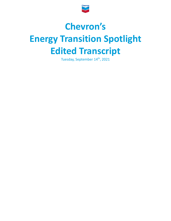

## **Chevron's Energy Transition Spotlight Edited Transcript**

Tuesday, September 14<sup>th</sup>, 2021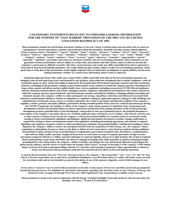

## **CAUTIONARY STATEMENTS RELEVANT TO FORWARD-LOOKING INFORMATION FOR THE PURPOSE OF "SAFE HARBOR" PROVISIONS OF THE PRIVATE SECURITIES LITIGATION REFORM ACT OF 1995**

**This presentation contains forward-looking statements relating to Chevron's energy transition plans and operations that are based on management's current expectations, estimates and projections about the petroleum, chemicals and other energy-related industries. Words or phrases such as "anticipates," "expects," "intends," "plans," "targets," "advances," "commits," "drives," "aims," "forecasts," "projects," "believes," "approaches," "seeks," "schedules," "estimates," "positions," "pursues," "may," "can," "could," "should," "will," "budgets," "outlook," "trends," "guidance," "focus," "on track," "goals," "objectives," "strategies," "opportunities," "poised," "potential," "ambitions" and similar expressions are intended to identify such forward-looking statements. These statements are not guarantees of future performance and are subject to certain risks, uncertainties and other factors, many of which are beyond the company's control and are difficult to predict. Therefore, actual outcomes and results may differ materially from what is expressed or forecasted in such forward-looking statements. The reader should not place undue reliance on these forward-looking statements, which speak only as of the date of this presentation. Unless legally required, Chevron undertakes no obligation to update publicly any forwardlooking statements, whether as a result of new information, future events or otherwise.** 

**Among the important factors that could cause actual results to differ materially from those in the forward-looking statements are: changing crude oil and natural gas prices and demand for our products, and production curtailments due to market conditions; crude oil production quotas or other actions that might be imposed by the Organization of Petroleum Exporting Countries and other producing countries; technological advancements; changes to government policies in the countries in which the company operates; development of large carbon capture and offsets markets; public health crises, such as pandemics (including coronavirus (COVID-19)) and epidemics, and any related government policies and actions; changing economic, regulatory and political environments in the various countries in which the company operates; general domestic and international economic and political conditions; changing refining, marketing and chemicals margins; the company's ability to realize anticipated cost savings, expenditure reductions and efficiencies associated with enterprise transformation initiatives; actions of competitors or regulators; timing of exploration expenses; timing of crude oil liftings; the competitiveness of alternate-energy sources or product substitutes; the results of operations and financial condition of the company's suppliers, vendors, partners and equity affiliates, particularly during extended periods of low prices for crude oil and natural gas during the COVID-19 pandemic; the inability or failure of the company's joint-venture partners to fund their share of operations and development activities; the potential failure to achieve expected net production from existing and future crude oil and natural gas development projects; potential delays in the development, construction or start-up of planned projects; the potential disruption or interruption of the company's operations due to war, accidents, political events, civil unrest, severe weather, cyber threats, terrorist acts, or other natural or human causes beyond the company's control; the potential liability for remedial actions or assessments under existing or future environmental regulations and litigation; significant operational, investment or product changes undertaken or required by existing or future environmental statutes and regulations, including international agreements and national or regional legislation and regulatory measures to limit or reduce greenhouse gas emissions; the potential liability resulting from pending or future litigation; the company's ability to achieve the anticipated benefits from the acquisition of Noble Energy, Inc.; the company's future acquisitions or dispositions of assets or shares or the delay or failure of such transactions to close based on required closing conditions; the potential for gains and losses from asset dispositions or impairments; government mandated sales, divestitures, recapitalizations, taxes and tax audits, tariffs, sanctions, changes in fiscal terms or restrictions on scope of company operations; foreign currency movements compared with the U.S. dollar; material reductions in corporate liquidity and access to debt markets; the receipt of required Board authorizations to pay future dividends; the effects of changed accounting rules under generally accepted accounting principles promulgated by rule-setting bodies; the company's ability to identify and mitigate the risks and hazards inherent in operating in the global energy industry; and the factors set forth under the heading "Risk Factors" on pages 18 through 23 of the company's 2020 Annual Report on Form 10-K and in subsequent filings with the U.S. Securities and Exchange Commission. Other unpredictable or unknown factors not discussed in this presentation could also have material adverse effects on forward-looking statements.** 

**As used in this presentation, the term "Chevron" and such terms as "the company," "the corporation," "our," "we," "us" and "its" may refer to Chevron Corporation, one or more of its consolidated subsidiaries, or to all of them taken as a whole. All of these terms are used for convenience only and are not intended as a precise description of any of the separate companies, each of which manages its own affairs.**

**Terms such as "resources" may be used in this presentation to describe certain aspects of Chevron's portfolio and oil and gas properties beyond the proved reserves. For definitions of, and further information regarding, this and other terms, see the "Glossary of Energy and Financial Terms" on pages 54 through 55 of Chevron's 2020 Supplement to the Annual Report available at chevron.com.** 

**This presentation is meant to be read in conjunction with the Energy Transition Spotlight Transcript posted on chevron.com under the headings "Investors," "Events & Presentations."**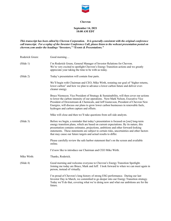

## **Chevron**

## **September 14, 2021 10:00 AM EDT**

*This transcript has been edited by Chevron Corporation. It is generally consistent with the original conference call transcript. For a replay of the Investor Conference Call, please listen to the webcast presentation posted on chevron.com under the headings "Investors," "Events & Presentations."*

| Roderick Green: | Good morning                                                                                                                                                                                                                                                                                                                                                                                                                       |
|-----------------|------------------------------------------------------------------------------------------------------------------------------------------------------------------------------------------------------------------------------------------------------------------------------------------------------------------------------------------------------------------------------------------------------------------------------------|
| (Slide 1)       | I'm Roderick Green, General Manager of Investor Relations for Chevron.<br>We're very excited to spotlight Chevron's Energy Transition actions and we greatly<br>appreciate your taking the time to be with us today.                                                                                                                                                                                                               |
| (Slide 2)       | Today's presentation will contain four parts.                                                                                                                                                                                                                                                                                                                                                                                      |
|                 | We'll begin with Chairman and CEO, Mike Wirth, restating our goal of "higher returns,<br>lower carbon" and how we plan to advance a lower carbon future and deliver ever-<br>cleaner energy.                                                                                                                                                                                                                                       |
|                 | Bruce Niemeyer, Vice President of Strategy & Sustainability, will then cover our actions<br>to lower the carbon intensity of our operations. Next Mark Nelson, Executive Vice<br>President of Downstream & Chemicals, and Jeff Gustavson, President of Chevron New<br>Energies, will discuss our plans to grow lower carbon businesses in renewable fuels,<br>hydrogen and carbon capture and offsets.                             |
|                 | Mike will close and then we'll take questions from sell side analysts.                                                                                                                                                                                                                                                                                                                                                             |
| (Slide 3)       | Before we begin, a reminder that today's presentation is focused on [our] long-term<br>energy transition plans, which are based on current expectations. By its nature, this<br>presentation contains estimates, projections, ambitions and other forward-looking<br>statements. These statements are subject to certain risks, uncertainties and other factors<br>that may cause our future targets and actual results to differ. |
|                 | Please carefully review the safe harbor statement that's on the screen and available<br>online.                                                                                                                                                                                                                                                                                                                                    |
|                 | I'd now like to introduce our Chairman and CEO Mike Wirth.                                                                                                                                                                                                                                                                                                                                                                         |
| Mike Wirth:     | Thanks, Roderick.                                                                                                                                                                                                                                                                                                                                                                                                                  |
| (Slide 4)       | Good morning and welcome everyone to Chevron's Energy Transition Spotlight.<br>Joining me today are Bruce, Mark and Jeff. I look forward to when we can meet again in<br>person, instead of virtually.                                                                                                                                                                                                                             |
|                 | I'm proud of Chevron's long history of strong ESG performance. During our last<br>Investor Day in March, we committed to go deeper into our Energy Transition strategy.<br>Today we'll do that, covering what we're doing now and what our ambitions are for the<br>future.                                                                                                                                                        |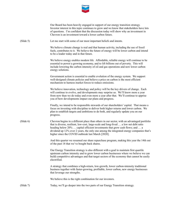

|           | Our Board has been heavily engaged in support of our energy transition strategy.<br>Investor interest in this topic continues to grow and we know that stakeholders have lots<br>of questions. I'm confident that the discussion today will show why an investment in<br>Chevron is an investment toward a lower carbon future.                                                                                         |
|-----------|-------------------------------------------------------------------------------------------------------------------------------------------------------------------------------------------------------------------------------------------------------------------------------------------------------------------------------------------------------------------------------------------------------------------------|
| (Slide 5) | Let me start with some of our most important beliefs and intents.                                                                                                                                                                                                                                                                                                                                                       |
|           | We believe climate change is real and that human activity, including the use of fossil<br>fuels, contributes to it. We believe the future of energy will be lower carbon and intend<br>to be a leader today and in that future.                                                                                                                                                                                         |
|           | We believe energy enables modern life. Affordable, reliable energy will continue to be<br>essential to power a growing economy, and to lift billions out of poverty. This will<br>include lowering the carbon intensity of oil and gas operations and new lower carbon<br>energy solutions.                                                                                                                             |
|           | Government action is essential to enable evolution of the energy system. We support<br>well-designed climate policies and believe a price on carbon is the most efficient<br>mechanism to harness market forces to reduce emissions.                                                                                                                                                                                    |
|           | We believe innovation, technology and policy will be the key drivers of change. Each<br>will continue to evolve, and developments may surprise us. We'll know more a year<br>from now than we do today and even more a year after that. We'll continue to apprise<br>you of how developments impact our plans and progress.                                                                                             |
|           | Finally, we intend to be responsible stewards of our shareholders' capital. That means a<br>focus on investing with discipline to deliver both higher returns and lower carbon. We<br>plan to establish targets and ambitions to do both, and regularly update you on our<br>progress.                                                                                                                                  |
| (Slide 6) | Chevron begins in a different place than others in our sector, with an advantaged portfolio<br>that is diverse, resilient, low-cost, large-scale and long-lived  a low net debt ratio<br>heading below 20%  capital efficient investments that grow cash flows; and  a<br>dividend up 12% over 2 years, the only one among the integrated energy companies that's<br>higher since the COVID outbreak last March [2020]. |
|           | And this quarter we resumed our share repurchase program, making this year the 14th out<br>of the past 18 that we've bought back shares.                                                                                                                                                                                                                                                                                |
|           | Our Energy Transition strategy is also different with a goal to maintain first quartile<br>upstream carbon intensity and to grow lower carbon businesses where we believe we can<br>build competitive advantages and that target sectors of the economy that cannot be easily<br>electrified.                                                                                                                           |
|           | A strategy that combines a high-return, low-growth, lower carbon-intensity traditional<br>business together with faster-growing, profitable, lower carbon, new energy businesses<br>that leverage our strengths.                                                                                                                                                                                                        |
|           | We believe this is the right combination for our investors.                                                                                                                                                                                                                                                                                                                                                             |
| (Slide 7) | Today, we'll go deeper into the two parts of our Energy Transition strategy.                                                                                                                                                                                                                                                                                                                                            |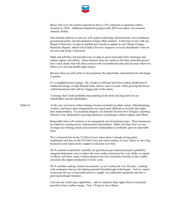

|           | Bruce will cover the actions expected to drive a 35% reduction in upstream carbon<br>intensity by 2028. Additional abatement projects after 2028 can reduce our emission<br>intensity further.                                                                                                                                                                                                   |
|-----------|--------------------------------------------------------------------------------------------------------------------------------------------------------------------------------------------------------------------------------------------------------------------------------------------------------------------------------------------------------------------------------------------------|
|           | Our ultimate pathway to net zero will require technology advancements, more ambitious<br>government policy and development of large offset markets. Following review with our<br>Board of Directors, we plan to publish next month an update to our Climate Change<br>Resilience Report, which will include Chevron's response to recent shareholder votes on<br>net zero and Scope 3 emissions. |
|           | Mark and Jeff then will describe how we plan to grow renewable fuels, hydrogen and<br>carbon capture and offsets. These business lines are earlier in life than renewable power,<br>have value chains that will often connect with our traditional ones and are areas where we<br>believe we can earn double-digit returns.                                                                      |
|           | Because these are still earlier in development, the opportunity and potential for advantage<br>is greater.                                                                                                                                                                                                                                                                                       |
|           | It's a straightforward strategy: Be a leader in efficient and lower-carbon production of<br>traditional energy, in high demand today and for years to come, while growing the lower-<br>carbon businesses that will be a bigger part of the future.                                                                                                                                              |
|           | A strategy that's both profitable and enduring in the short and long term for our<br>shareholders and all stakeholders.                                                                                                                                                                                                                                                                          |
| (Slide 8) | At the core, our lower carbon strategy focuses on harder-to-abate sectors. Manufacturing,<br>aviation, and heavy-duty transportation are much more difficult to electrify than light-<br>duty transportation. To accelerate progress, we formed Chevron New Energies, reporting<br>directly to me, dedicated to growing businesses in hydrogen, carbon capture and offsets.                      |
|           | Renewable fuels will continue to be managed by our downstream team. These businesses<br>are linked to existing assets, infrastructure and markets. Mark will share how we can<br>leverage our refining system and customer relationships to profitably grow in renewable<br>fuels.                                                                                                               |
|           | We've focused first on the US West Coast, where there's already strong policy<br>enablement and also on the US Gulf Coast and select markets in Asia, where we have big<br>businesses and expect policy support to increase over time.                                                                                                                                                           |
|           | We'll continue to prioritize centrally our greenhouse gas reduction projects guided by<br>marginal abatement costs to reduce the most carbon emissions for every dollar we spend.<br>As Bruce will show, many of these projects also have economic benefits as they enable<br>outcomes like higher production or lower costs.                                                                    |
|           | We'll continue making venture investments, as we've done for over 20 years, working<br>with companies that are developing potential breakthrough technologies. And we expect<br>to increase the use of renewable power to supply our traditional operations and also a<br>growing hydrogen business.                                                                                             |
|           | Chevron has world class capabilities – and we intend to fully apply them to accelerate<br>growth in lower carbon energy. Now, I'll pass it on to Bruce.                                                                                                                                                                                                                                          |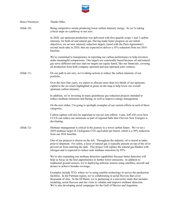

| Bruce Niemeyer: | Thanks Mike.                                                                                                                                                                                                                                                                                                                                                                                                                                       |
|-----------------|----------------------------------------------------------------------------------------------------------------------------------------------------------------------------------------------------------------------------------------------------------------------------------------------------------------------------------------------------------------------------------------------------------------------------------------------------|
| (Slide 10)      | Being competitive means producing lower carbon intensity energy. So we're taking<br>critical steps on a pathway to net zero.                                                                                                                                                                                                                                                                                                                       |
|                 | In 2020, our upstream production was delivered with first quartile scope 1 and 2 carbon<br>intensity, for both oil and natural gas. Having made faster progress on our initial<br>objectives, we set new intensity reduction targets, timed with the Paris Agreement's<br>second stock-take in 2028, that are expected to deliver a 35% reduction from our 2016<br>baseline.                                                                       |
|                 | We're committed to transparency in reporting our carbon performance to help investors<br>make meaningful comparisons. Our targets are commodity based because oil and natural<br>gas serve different end uses and our targets are equity based, like our financials, covering<br>all production from both company operated and non-operated joint ventures.                                                                                        |
| (Slide 11)      | On our path to net zero, we're taking actions to reduce the carbon intensity of our<br>portfolio.                                                                                                                                                                                                                                                                                                                                                  |
|                 | Over the next four years, we expect to allocate more than two-thirds of our upstream<br>capital to the six assets highlighted in green on the map to help lower our overall<br>upstream carbon intensity.                                                                                                                                                                                                                                          |
|                 | In addition, we're investing in many greenhouse gas reduction projects intended to<br>reduce methane emissions and flaring, as well as improve energy management.                                                                                                                                                                                                                                                                                  |
|                 | On the next slides, I'm going to spotlight examples of our current efforts in each of these<br>categories.                                                                                                                                                                                                                                                                                                                                         |
|                 | Carbon capture will also be important to our net zero efforts. Later, Jeff will cover how<br>CCUS can reduce our emissions as part of regional hubs that Chevron New Energies is<br>developing.                                                                                                                                                                                                                                                    |
| (Slide 12)      | Methane management is critical in the journey to a lower carbon future. We've set a<br>2028 methane target of 2 kilograms CO2 equivalent per barrel, which is a 50% reduction<br>from our 2016 baseline.                                                                                                                                                                                                                                           |
|                 | One of our projects is shown on the left. Throughout the industry, oil is stored in tanks<br>prior to shipment. For safety, a layer of natural gas is typically present on top of the oil to<br>prevent air from entering the tank. This project will replace the natural gas blanket with<br>nitrogen and is expected to reduce tank methane emissions by 95%.                                                                                    |
|                 | We're also expanding our methane detection capabilities because better detection will<br>help us focus on the best opportunities to further lower emissions. In addition to<br>traditional ground sensors, we're deploying airborne sensors using satellites, aircraft and<br>drones to achieve broader coverage.                                                                                                                                  |
|                 | Examples include TCO, where we're using satellite technology to survey the production<br>facilities. In the Permian region, we're collaborating in aerial flyovers that cover<br>thousands of sites. In the DJ Basin, we're partnering in a university study that includes<br>modeling, aerial flyovers and site visits to validate and improve methane detection.<br>We're also developing aerial campaigns for the Gulf of Mexico and Argentina. |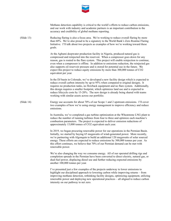

|               | Methane detection capability is critical to the world's efforts to reduce carbon emissions,<br>and our work with industry and academic partners is an important contribution to the<br>accuracy and credibility of global methane reporting.                                                                                                                                                                                                                                                                                                                             |
|---------------|--------------------------------------------------------------------------------------------------------------------------------------------------------------------------------------------------------------------------------------------------------------------------------------------------------------------------------------------------------------------------------------------------------------------------------------------------------------------------------------------------------------------------------------------------------------------------|
| (Slide 13)    | Reducing flaring is also a focus area. We're working to reduce overall flaring by more<br>than 60%. We're also proud to be a signatory to the World Bank's Zero Routine Flaring<br>Initiative. I'll talk about two projects as examples of how we're working toward these<br>goals.                                                                                                                                                                                                                                                                                      |
|               | At the Agbami deepwater production facility in Nigeria, produced natural gas is<br>compressed and reinjected into the reservoir. When a compressor goes down for any<br>reason, gas is routed to the flare system. This project will enable reinjection to continue,<br>even when a compressor is offline. In addition to emissions reduction, the reinjected gas<br>also supports oil reservoir pressure and is stored for potential use in the future. We<br>expect this project to reduce equity emissions by more than 300,000 tonnes of CO2<br>equivalent per year. |
|               | In the DJ basin in Colorado, we've developed a new facility design which is expected to<br>reduce overall carbon intensity by up to 95% when compared to original designs. It<br>requires no production tanks, no flowback equipment and no flare system. Additionally,<br>this design requires a smaller footprint, which optimizes land use and is expected to<br>reduce lifecycle costs by 15-20%. The new design is already being shared with teams<br>working with similar assets across our portfolio.                                                             |
| $(S$ lide 14) | Energy use accounts for about 70% of our Scope 1 and 2 upstream emissions. I'll cover<br>two examples of how we're using energy management to improve efficiency and reduce<br>emissions.                                                                                                                                                                                                                                                                                                                                                                                |
|               | In Australia, we've completed a gas turbine optimization at the Wheatstone LNG plant to<br>reduce the number of running turbines from four to three and optimize each machine's<br>combustion parameters. The project is expected to deliver emission reductions of<br>approximately 15,000 tonnes of CO2 equivalent each year.                                                                                                                                                                                                                                          |
|               | In 2019, we began procuring renewable power for our operations in the Permian Basin.<br>Initially, we started by buying 65 megawatts of wind-generated power. More recently,<br>we're partnering with Algonquin to build an additional 120 megawatts of solar sourced<br>energy. These efforts are expected to reduce emissions by 300,000 tonnes per year. As<br>this effort continues, we believe that 70% of our Permian demand can be met with<br>renewable power.                                                                                                   |
|               | We're also changing the way we consume energy. All of our operated drilling rigs and<br>completion spreads in the Permian have been converted to direct electric, natural gas, or<br>dual-fuel power, displacing diesel use and further reducing expected emissions by<br>another 100,000 tonnes per year.                                                                                                                                                                                                                                                               |
|               | I've presented just a few examples of the projects underway to lower emissions to<br>highlight our disciplined approach to lowering carbon while improving returns - from<br>improving methane detection, rethinking facility designs, optimizing equipment, utilizing<br>renewable power and deploying new operational practices – all aligned to reduce carbon<br>intensity on our pathway to net zero.                                                                                                                                                                |
|               |                                                                                                                                                                                                                                                                                                                                                                                                                                                                                                                                                                          |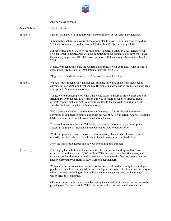

|              | And now over to Mark.                                                                                                                                                                                                                                                                                                               |
|--------------|-------------------------------------------------------------------------------------------------------------------------------------------------------------------------------------------------------------------------------------------------------------------------------------------------------------------------------------|
| Mark Nelson: | Thanks, Bruce.                                                                                                                                                                                                                                                                                                                      |
| (Slide 16)   | I'll start with a bit of a summary which expands upon our Investor Day guidance.                                                                                                                                                                                                                                                    |
|              | In renewable natural gas, we're ahead of our plan to grow RNG production tenfold by<br>2025 and we intend to produce over 40,000 million BTUs per day by 2030.                                                                                                                                                                      |
|              | For renewable diesel, we now expect to grow volumes 3 times by 2025, ahead of our<br>original target to double. And with our complex refining system, we believe we'll have<br>the capacity to produce 100,000 barrels per day of RD and sustainable aviation fuel by<br>2030.                                                      |
|              | Finally, with renewable base oil, we remain on track for our 2025 target with upside to<br>grow annual production to 100,000 tonnes per year by 2030.                                                                                                                                                                               |
|              | I'll go into more detail about each of these on the next few slides.                                                                                                                                                                                                                                                                |
| (Slide 17)   | We're a leader in renewable natural gas, building our value chain from feedstock to<br>customer in partnership with others, like Brightmark and CalBio in production and Clean<br>Energy and Mercuria in marketing.                                                                                                                 |
|              | Today, we're producing RNG with CalBio and expect numerous project start-ups with<br>Brightmark over the next two years on our way to future production targets. These<br>projects capture methane that is currently emitted to the atmosphere and turn it into<br>valuable fuel, with negative carbon intensity.                   |
|              | We're getting the RNG to market through fleet sites in California and into trucks<br>converted to compressed natural gas under our Adopt-A-Port program. And we're adding<br>CNG to a number of our Chevron branded retail sites.                                                                                                   |
|              | To expand to markets beyond California, we recently announced a partnership with<br>Mercuria, adding 60 American Natural Gas CNG sites to our portfolio.                                                                                                                                                                            |
|              | While our primary focus is on lower carbon-intensity dairy feedstocks, we expect to<br>diversify our feed mix over time likely to include wastewater and landfill gas.                                                                                                                                                              |
|              | Now, let's go a little deeper into how we're building this business.                                                                                                                                                                                                                                                                |
| (Slide 18)   | For roughly half a billion dollars committed to date, we're building an RNG business<br>expected to produce about 10,000 million BTUs per day in less than five years, with<br>expected double-digit returns and an average carbon intensity feedstock score of around<br>negative 250 under California's Low Carbon Fuel Standard. |
|              | With our partners, we contract with farms that have scale and proximity to natural gas<br>pipelines to enable a commercial project. Each project is scored for its carbon intensity -<br>which can vary depending on factors like manure management and gas handling, all of<br>which drive the economics.                          |
|              | Chevron completes the value chain by getting the natural gas to customers. We began by<br>growing our CNG network in California because of our strong brand presence and                                                                                                                                                            |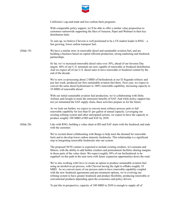

With comparable policy support, we'll be able to offer a similar value proposition to customers nationwide supporting the likes of Amazon, Pepsi and Walmart in their key distribution hubs.

To sum up, we believe Chevron is well positioned to be a US market leader in RNG – a fast growing, lower carbon transport fuel.

(Slide 19) We have a similar story in renewable diesel and sustainable aviation fuel, and are building a business based on capital efficient production, strong marketing and feedstock partnerships.

> So far, we've increased renewable diesel sales over 30%, ahead of our Investor Day targets. 60% of our U.S. terminals are now capable of renewable or biodiesel distribution. And we expect all of our U.S. diesel sales to have renewable or biodiesel content by the end of the decade.

> We're now co-processing about 2 MBD of biofeedstock at our El Segundo refinery and just last week, produced our first sustainable aviation fuel there. Next year, we expect to convert the same diesel hydrotreater to 100% renewable capability, increasing capacity to 10 MBD of renewable diesel.

> With our initial sustainable aviation fuel production, we're collaborating with Delta Airlines and Google to track the emissions benefits of SAF. And while policy support has not yet stimulated the SAF supply chain, these activities prepare us for the future.

As we look out further, we expect to convert more refinery process units to full renewable capability for less than \$1 per gallon of annual capacity. Leveraging our existing refining system and other anticipated actions, we expect to have the capacity to produce roughly 100 MBD of RD and SAF by 2030.

(Slide 20) Like with RNG, building a value chain in RD and SAF starts with the feedstock and ends with the customer.

> We're excited about collaborating with Bunge to help meet the demand for renewable fuels and to develop lower carbon intensity feedstocks. This relationship is a significant step in integrating renewable feedstocks into our system.

The proposed 50/50 venture is expected to include existing crushers, in Louisiana and Illinois, with the ability to add further crushers and pretreatment facilities sharing margins in those parts of the value chain. We expect roughly 30% of our biofeedstock to be supplied via this path in the near term with future expansion opportunities down the road.

We're also working with Gevo to create an option to produce sustainable aviation fuel using an alcohol-to-jet process, with Chevron having the right to offtake roughly 10 MBD. As we convert more of our process units to have renewable capability coupled with the new feedstock agreements and pre-treatment options, we're evolving our refining system to have greater feedstock and product flexibility, producing renewable or conventional products depending upon the economics and policy drivers.

To put this in perspective, capacity of 100 MBD in 2030 is enough to supply all of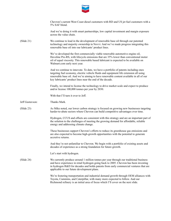

|                 | Chevron's current West Coast diesel customers with RD and US jet fuel customers with a<br>5% SAF blend.                                                                                                                                                                                                                              |
|-----------------|--------------------------------------------------------------------------------------------------------------------------------------------------------------------------------------------------------------------------------------------------------------------------------------------------------------------------------------|
|                 | And we're doing it with smart partnerships, low capital investment and margin exposure<br>across the value chain.                                                                                                                                                                                                                    |
| (Slide 21)      | We continue to lead in the development of renewable base oil through our patented<br>technology and majority ownership in Novvi. And we've made progress integrating this<br>renewable base oil into our lubricants' product lines.                                                                                                  |
|                 | We've developed the first commercially viable renewable automotive engine oil,<br>Havoline Pro-RS, with lifecycle emissions that are 35% lower than conventional motor<br>oil of equal viscosity. This renewable based lubricant is expected to be available on<br>Walmart.com early next year.                                      |
|                 | And we continue to innovate. To date, we have a portfolio of patents including ones<br>targeting fuel economy, electric vehicle fluids and equipment life extension all using<br>renewable base oil. And we're aiming to have renewable content available in all of our<br>key lubricants' product lines near the end of the decade. |
|                 | Finally, we intend to license the technology to drive market scale and expect to produce<br>and/or license 100,000 tonnes per year by 2030.                                                                                                                                                                                          |
|                 | With that I'll turn it over to Jeff.                                                                                                                                                                                                                                                                                                 |
| Jeff Gustavson: | Thanks Mark.                                                                                                                                                                                                                                                                                                                         |
| (Slide 23)      | As Mike noted, our lower carbon strategy is focused on growing new businesses targeting<br>harder-to-abate sectors where Chevron can build competitive advantages over time.                                                                                                                                                         |
|                 | Hydrogen, CCUS and offsets are consistent with this strategy and are an important part of<br>the solution to the challenges of meeting the growing demand for affordable, reliable<br>energy and addressing climate change.                                                                                                          |
|                 | These businesses support Chevron's efforts to reduce its greenhouse gas emissions and<br>are also expected to become high-growth opportunities with the potential to generate<br>accretive returns.                                                                                                                                  |
|                 | And they're not unfamiliar to Chevron. We begin with a portfolio of existing assets and<br>decades of experience as a strong foundation for future growth.                                                                                                                                                                           |
|                 | Let's start with hydrogen.                                                                                                                                                                                                                                                                                                           |
| (Slide 24)      | We currently produce around 1 million tonnes per year through our traditional business<br>and have experience in retail hydrogen going back to 2005. Chevron has been investing<br>in hydrogen R&D for decades and holds patents from early commercial ventures that are<br>applicable to our future development plans.              |
|                 | We're fostering transportation and industrial demand growth through OEM alliances with<br>Toyota, Cummins, and Caterpillar, with many more expected to follow. And our<br>Richmond refinery is an initial area of focus which I'll cover on the next slide.                                                                          |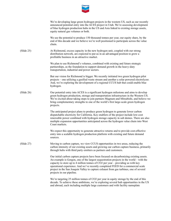

|            | We're developing large green hydrogen projects in the western US, such as our recently<br>announced potential entry into the ACES project in Utah. We're assessing development<br>of blue hydrogen production hubs in the US and Asia linked to existing storage assets,<br>equity natural gas volumes or both.                                                                                                                                                                     |
|------------|-------------------------------------------------------------------------------------------------------------------------------------------------------------------------------------------------------------------------------------------------------------------------------------------------------------------------------------------------------------------------------------------------------------------------------------------------------------------------------------|
|            | We see the potential to produce 150 thousand tonnes per year, our equity share, by the<br>end of this decade and we believe we're well positioned to participate across the value<br>chain.                                                                                                                                                                                                                                                                                         |
| (Slide 25) | At Richmond, excess capacity in the new hydrogen unit, coupled with our strong<br>distribution network, are expected to put us in an advantaged position to grow a<br>profitable business in an attractive market.                                                                                                                                                                                                                                                                  |
|            | We plan to use Richmond's volumes, combined with existing and future strategic<br>partnerships, as the foundation to support demand growth in the heavy-duty<br>transportation, industrial and power sectors.                                                                                                                                                                                                                                                                       |
|            | But our vision for Richmond is bigger. We recently initiated two green hydrogen pilot<br>projects – one utilizing a gasified waste stream and another a solar powered electrolyzer.<br>And, we're exploring the development of a regional CCUS hub that could enable blue<br>hydrogen.                                                                                                                                                                                              |
| (Slide 26) | Our potential entry into ACES is a significant hydrogen milestone and aims to develop<br>green hydrogen production, storage and transportation infrastructure in the Western US.<br>We're excited about taking steps to join partners Magnum and Mitsubishi, and believe we<br>bring complementary strengths to one of the world's first large-scale green hydrogen<br>projects.                                                                                                    |
|            | The anticipated project plans to produce green hydrogen to generate lower carbon<br>dispatchable electricity for California. Key enablers of the project include low-cost<br>renewable power combined with hydrogen storage capacity in salt domes. There are also<br>multiple expansion opportunities anticipated across the hydrogen value chain into West<br>Coast markets.                                                                                                      |
|            | We expect this opportunity to generate attractive returns and to provide cost-effective<br>entry into a scalable hydrogen production platform with existing and future demand<br>sources.                                                                                                                                                                                                                                                                                           |
| (Slide 27) | Moving to carbon capture, we view CCUS opportunities in two areas, reducing the<br>carbon intensity of our existing assets and growing our carbon capture business, primarily<br>through hubs with third party emitters as partners and customers.                                                                                                                                                                                                                                  |
|            | Our initial carbon capture projects have been focused on decarbonizing existing assets.<br>An example is Gorgon, one of the largest sequestration projects in the world – with the<br>capacity to store up to 4 million tonnes of $CO2$ per year – providing us with key<br>operational experience. And we've recently completed FEED for a commercial scale<br>project in the San Joaquin Valley to capture exhaust from gas turbines, one of several<br>projects in our pipeline. |
|            | We're targeting 25 million tonnes of CO2 per year in equity storage by the end of this<br>decade. To achieve these ambitions, we're exploring several hub opportunities in the US<br>and abroad, each including multiple large customers and with facility nameplate                                                                                                                                                                                                                |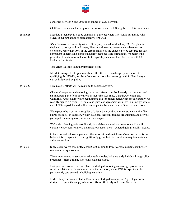

|            | capacities between 5 and 20 million tonnes of CO2 per year.                                                                                                                                                                                                                                                                                                                                                                                                                 |
|------------|-----------------------------------------------------------------------------------------------------------------------------------------------------------------------------------------------------------------------------------------------------------------------------------------------------------------------------------------------------------------------------------------------------------------------------------------------------------------------------|
|            | CCUS is a critical enabler of global net zero and our CCUS targets reflect its importance.                                                                                                                                                                                                                                                                                                                                                                                  |
| (Slide 28) | Mendota Bioenergy is a good example of a project where Chevron is partnering with<br>others to capture and then permanently store CO2.                                                                                                                                                                                                                                                                                                                                      |
|            | It's a Biomass to Electricity with CCS project, located in Mendota, CA. The plant is<br>designed to use agricultural waste, like almond trees, to generate negative emission<br>electricity. More than 99% of the carbon emissions are expected to be captured for safe,<br>permanent underground storage in nearby deep geologic formations. We believe the<br>project will position us to demonstrate capability and establish Chevron as a CCUS<br>leader in California. |
|            | This effort illustrates another important point.                                                                                                                                                                                                                                                                                                                                                                                                                            |
|            | Mendota is expected to generate about 300,000 LCFS credits per year on top of<br>qualifying for IRS-45Q tax benefits showing how the pace of growth in New Energies<br>can be influenced by policy.                                                                                                                                                                                                                                                                         |
| (Slide 29) | Like CCUS, offsets will be required to achieve net zero.                                                                                                                                                                                                                                                                                                                                                                                                                    |
|            | Chevron's experience developing and using offsets dates back nearly two decades, and is<br>an important part of our operations in areas like Australia, Canada, Colombia and<br>California. And customers are beginning to ask for offsets paired with product supply. We<br>recently signed a 5-year LNG sales and purchase agreement with Pavilion Energy, where<br>each LNG cargo delivered will be accompanied by a statement of its GHG emissions.                     |
|            | We expect to be a portfolio supplier of offsets by providing more customers with offset-<br>paired products. In addition, we have a global [carbon] trading organization and actively<br>participate on multiple registries and exchanges.                                                                                                                                                                                                                                  |
|            | We're also planning to invest directly in scalable, nature-based solutions - like soil<br>carbon storage, reforestation, and mangrove restoration – generating high-quality credits.                                                                                                                                                                                                                                                                                        |
|            | Offsets are critical to complement other efforts to reduce Chevron's carbon intensity. We<br>believe this is a space that can significantly grow, both in compliance requirements and<br>value generation.                                                                                                                                                                                                                                                                  |
| (Slide 30) | Since 2018, we've committed about \$500 million to lower carbon investments through<br>our ventures organization.                                                                                                                                                                                                                                                                                                                                                           |
|            | These investments target cutting edge technologies, bringing early insights through pilot<br>programs – often utilizing Chevron's existing assets.                                                                                                                                                                                                                                                                                                                          |
|            | Last year, we invested in Blue Planet, a startup developing technology, products and<br>services related to carbon capture and mineralization, where CO2 is expected to be<br>permanently sequestered in building materials.                                                                                                                                                                                                                                                |
|            | Earlier this year, we invested in Boomitra, a startup developing an AgTech platform<br>designed to grow the supply of carbon offsets efficiently and cost-effectively.                                                                                                                                                                                                                                                                                                      |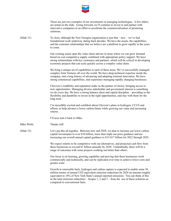

|             | These are just two examples of our investments in emerging technologies. A few others<br>are noted on the slide. Going forward, we'll continue to invest in and partner with<br>innovative companies in an effort to accelerate the commercialization of promising<br>solutions.                                                                                                                            |
|-------------|-------------------------------------------------------------------------------------------------------------------------------------------------------------------------------------------------------------------------------------------------------------------------------------------------------------------------------------------------------------------------------------------------------------|
| (Slide 31)  | To close, although the New Energies organization is just that $-$ new $-$ we've had<br>foundational work underway dating back decades. We have the assets, the capabilities,<br>and the customer relationships that we believe are a platform to grow rapidly in the years<br>to come.                                                                                                                      |
|             | Our existing assets span the value chain and are in areas where we can grow demand<br>based on cost competitive supply combined with appropriate policy support. We have<br>strong relationships with key customers and partners, which will be critical in developing<br>economic projects that can scale quickly across a complex value chain.                                                            |
|             | We bring a unique set of capabilities to each of these areas. We've successfully managed<br>complex Joint Ventures all over the world. We have deep technical expertise inside the<br>company, and a long history of advancing and adopting external innovation. We have<br>strong commercial capabilities, and experience managing rapidly changing businesses.                                            |
|             | Chevron's credibility and reputation make us the partner of choice, bringing access to<br>new opportunities. Managing diverse stakeholder and government interest is something<br>we do every day. We have a strong balance sheet and capital discipline - providing us the<br>flexibility and durability to invest in the right opportunities, and stay with them for the<br>long term.                    |
|             | I'm incredibly excited and confident about Chevron's plans in hydrogen, CCUS and<br>offsets, to help advance a lower carbon future while growing our value and increasing<br>returns.                                                                                                                                                                                                                       |
|             | I'll now turn it back to Mike.                                                                                                                                                                                                                                                                                                                                                                              |
| Mike Wirth: | Thanks Jeff.                                                                                                                                                                                                                                                                                                                                                                                                |
| (Slide 33)  | Let's put this all together. Between now and 2028, we plan to increase our lower carbon<br>capital investments to over \$10 billion, more than triple our prior guidance and are<br>increasing our overall annual capital guidance to \$15-\$17 billion for 2022 through 2025.                                                                                                                              |
|             | We expect returns to be competitive with our alternatives, and projected cash flow from<br>these businesses to exceed \$1 billion annually by 2030. Undoubtedly, there will be a<br>range of outcomes with some projects working out better than others.                                                                                                                                                    |
|             | Our focus is on learning, growing capability and proving that these businesses work<br>commercially and technically, and can be replicated over time to achieve lower costs and<br>greater scale.                                                                                                                                                                                                           |
|             | Growth in renewable fuels, hydrogen and carbon capture is expected to enable some 30<br>million tonnes of annual CO2 equivalent emission reductions by 2028 an amount roughly<br>equivalent to 18% of New York State's annual reported emissions. You can think of this<br>as the total emission reductions $-$ Scopes 1, 2 and 3 $-$ from the use of these solutions as<br>compared to conventional fuels. |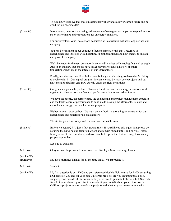

|                            | To sum up, we believe that these investments will advance a lower carbon future and be<br>good for our shareholders                                                                                                                                                                                                                                                                                                                                          |
|----------------------------|--------------------------------------------------------------------------------------------------------------------------------------------------------------------------------------------------------------------------------------------------------------------------------------------------------------------------------------------------------------------------------------------------------------------------------------------------------------|
| (Slide 34)                 | In our sector, investors are seeing a divergence of strategies as companies respond to poor<br>stock performance and expectations for an energy transition.                                                                                                                                                                                                                                                                                                  |
|                            | For our investors, you'll see actions consistent with attributes that have long defined our<br>company.                                                                                                                                                                                                                                                                                                                                                      |
|                            | You can be confident in our continued focus to generate cash that's returned to<br>shareholders and invested with discipline, in both traditional and new energy, to sustain<br>and grow the company.                                                                                                                                                                                                                                                        |
|                            | We'll be ready for the next downturn in commodity prices with leading financial strength.<br>And in an industry that should have fewer players, we have a history of smart<br>transactions when it's in the interest of our shareholders.                                                                                                                                                                                                                    |
|                            | Finally, in a dynamic world with the rate-of-change accelerating, we have the flexibility<br>to evolve with it. Our capital program is characterized by short cycle projects and our<br>new energies platform can grow quickly under the right conditions.                                                                                                                                                                                                   |
| (Slide 35)                 | Our guidance paints the picture of how our traditional and new energy businesses work<br>together to drive and sustain financial performance in a lower carbon future.                                                                                                                                                                                                                                                                                       |
|                            | We have the people, the partnerships, the engineering and project management expertise<br>and the track record of performance to continue to develop the affordable, reliable and<br>ever-cleaner energy that enables human progress.                                                                                                                                                                                                                        |
|                            | Higher returns, lower carbon. We must deliver both, to earn a higher valuation for our<br>shareholders and benefit for all stakeholders.                                                                                                                                                                                                                                                                                                                     |
|                            | Thanks for your time today, and for your interest in Chevron.                                                                                                                                                                                                                                                                                                                                                                                                |
| (Slide 36)                 | Before we begin Q&A, just a few ground rules. If you'd like to ask a question, please do<br>so using the hand-raising feature in Zoom and remain muted until I call on you. Please<br>limit yourself to two questions, and ask them both upfront so that we can get to as many<br>people as possible.                                                                                                                                                        |
|                            | Let's go to questions.                                                                                                                                                                                                                                                                                                                                                                                                                                       |
| Mike Wirth:                | Okay we will begin with Jeanine Wai from Barclays. Good morning, Jeanine.                                                                                                                                                                                                                                                                                                                                                                                    |
| Jeanine Wai:<br>(Barclays) | Hi, good morning! Thanks for all the time today. We appreciate it.                                                                                                                                                                                                                                                                                                                                                                                           |
| Mike Wirth:                | You bet.                                                                                                                                                                                                                                                                                                                                                                                                                                                     |
| Jeanine Wai:               | My first question is on, RNG and you referenced double digit returns for RNG, assuming<br>a CI score of -250 and for your non-California projects, are you assuming that policy<br>support grows outside of California or do you expect to generate California LCFS credits<br>for all of your planned projects? And maybe if you can talk about your returns on the<br>California projects versus out-of-state projects and whether your conversations with |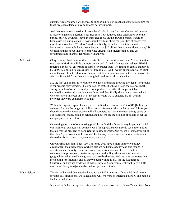

customers really show a willingness to support a price on gas that'll generate a return for those projects outside of any additional policy support?

And then our second question, I know there's a lot in that first one. Our second question is more of a general question. Your free cash flow outlook, that's unchanged over the period, but you obviously have an increased focus on the growing energy transition businesses. So our question is, how should we think about the priorities of excess free cash flow above that \$25 billion? And specifically, should we now think about incremental, renewable investments beyond that \$10 billion that you mentioned today? If we should think about those as competing directly with incremental oil and gas investments and shareholder returns? Thank you.

Mike Wirth: Okay. Jeanine thank you. And let me take the second question and then I'll hand the first one over to Mark for a little bit more details and it's really downstream related. We did reiterate our overall enterprise guidance for greater than 10% return on capital employed by 2025, \$25 billion in excess cash '21 through '25. And I would encourage you to think about the use of that cash or cash beyond that \$25 billion in a way that's very consistent with the financial frame that we've long held and use to allocate capital.

> So, the first call on that is to ensure we've got a strong and growing dividend. The second is for organic reinvestment, I'll come back to that. The third is keep the balance sheet strong, which we've seen recently is so important to weather the unpredictable commodity markets that our business faces, and then finally share repurchases, which we've restarted this year and 14 of the last 18 years we've engaged in. So, overall priorities stay very consistent with that.

Within the organic capital Jeanine, we've outlined an increase to \$15 to \$17 [billion], so we've clicked up the range by a billion dollars from our prior guidance. And I think you should assume that these projects will all compete, be they in the new energy space or in our traditional space, based on returns and how we see the best use of dollars to set the company up for the future.

Generating cash out of our existing portfolio to fund the future is very important. I think our traditional business will compete well for capital. But we also do see opportunities that deliver the prospect of good returns in new energies. And so, we'll look across all of that. I can't give you a simple formula. It's the way we always look at our portfolio and the trade-offs in returns, risk, execution, et cetera.

On your first question I'll just say, California does have a more supportive policy environment than just about anywhere else we do business today and that results in investment and activity. Over time, we expect a combination of cost reductions, technology improvement, market acceptance, and policy advancements in other geographies. All to enable the growth of these businesses. And we have customers that are looking for solutions, and so they've been willing to pay for the solutions in California, and we see evidence of that elsewhere. Mark, you might want to go a little more specifically into [renewable natural gas] and returns.

Mark Nelson: Thanks, Mike. And Jeanine, thank you for the RNG question. If you think back to our investor day discussions, we talked about why we were so interested in RNG and being a leader in that space.

It started with the concept that this is one of the most cost and carbon efficient fuels from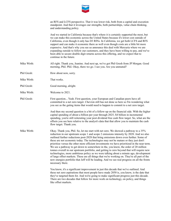

| an RFS and LCFS perspective. That it was lower risk, both from a capital and execution<br>standpoint. And that it leverages our strengths, both partnerships, value chain thinking,<br>and understanding policy. |
|------------------------------------------------------------------------------------------------------------------------------------------------------------------------------------------------------------------|
| And we started in California because that's where it is certainly supported the most, but<br>we can make this economic across the United States because it's lower cost outside of                               |

we can make this economic across the United States because it's lower cost outside of California, even though it only has D3 RINs. In California, we get both LCFS and RFS support and can make it economic there as well even though costs are a little bit more expensive. And that's why you see us announce this deal with Mercuria where we are expanding outside to follow our customers, and they have been willing to pay, and we've been able to secure double digit returns across this offering, and we expect that to continue in the future.

- Mike Wirth: All right. Thank you, Jeanine. And next up, we've got Phil Gresh from JP Morgan. Good morning, Phil. Phil. Okay, there we go. I see you. Are you unmuted?
- Phil Gresh: How about now, sorry.
- Mike Wirth: That works.
- Phil Gresh: Good morning, alright.
- Mike Wirth: Welcome to 2021.
- Phil Gresh: First question... Yeah. First question, your European and Canadian peers have all committed to a net zero target. Chevron still has not done so here so I'm wondering what you see as the gating items that would need to happen to commit to a net zero target.

And then my second question is a bit of a follow-up on the financial side. With the higher capital spending of about a billion per year through 2025, \$4 billion in incremental spending, you're still reiterating your post dividend free cash flow target. So, what are the offsets you see here relative to the analyst's data that that allow you to maintain the cash flow target. Thank you.

Mike Wirth: Okay. Thank you, Phil. So, let me start with net zero. We showed a pathway to a 35% reduction in our upstream scope 1 and scope 2 emissions intensity by 2028. And we also outlined further reductions post-2028 that bring emissions down even further. Some of these are not economic today. The technologies may not be mature or they just don't prioritize versus the other more efficient investments we have prioritized in the near term. We see a pathway to get down to somewhere in the, you know, the order of 20 million tonnes overall in our upstream portfolio, and getting to zero beyond that will require new technologies, more ambitious policy as we were talking about a minute ago, development of large offset markets. These are all things that we're working on. They're all part of the new energies portfolio that Jeff will be leading. And we see real progress on all the fronts necessary there.

> You know, it's a significant improvement in just this decade that we've outlined. And these net zero aspirations that most people have made 2050 is, you know, is the date that they've targeted them for. And we're going to make significant progress just this decade. There are two decades that follow for more work on technology, on policy, and things like offset markets.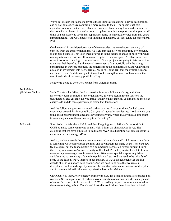

|                                | We've got greater confidence today that those things are maturing. They're accelerating,<br>and as you can see, we're committing more capital to them. The specific net zero<br>aspiration is a topic that we have discussed with our board many times and continue to<br>discuss with our board. And we're going to update our climate report later this year. And I<br>think you can expect to see in that report a response to shareholder votes from this year's<br>annual meeting. And we'll update our thinking on net zero. So, stay tuned for more there,<br>Phil.                                                                                                                                                                                                                                                                                                                                   |
|--------------------------------|--------------------------------------------------------------------------------------------------------------------------------------------------------------------------------------------------------------------------------------------------------------------------------------------------------------------------------------------------------------------------------------------------------------------------------------------------------------------------------------------------------------------------------------------------------------------------------------------------------------------------------------------------------------------------------------------------------------------------------------------------------------------------------------------------------------------------------------------------------------------------------------------------------------|
|                                | On the overall financial performance of the enterprise, we're seeing real delivery of<br>benefits from the transformation that we went through last year and strong performance<br>in our base business. That is on track or even in some instances ahead of pace with what<br>our aspirations were. As we allocate more capital to new energies, it'll affect cash from<br>operations to a certain degree because some of these projects are going to take some time<br>to deliver their benefits. But the overall assessment of our portfolio with the strong<br>performance in our core business, the benefits from the transformation, and what will be<br>a scaled-in investment into new energies. We're still confident that the overall guidance<br>can be delivered. And it's really a testament to the strength of our core business in the<br>traditional side of our energy portfolio. Okay.     |
|                                | Next we're going to go to Neil Mehta from Goldman Sachs.                                                                                                                                                                                                                                                                                                                                                                                                                                                                                                                                                                                                                                                                                                                                                                                                                                                     |
| Neil Mehta:<br>(Goldman Sachs) | Yeah. Thanks a lot. Mike, the first question is around M&A capability, and it has<br>historically been a strength of the organization, as we've seen in recent years on the<br>traditional oil and gas side. Do you think you have that capability as it relates to the clean<br>energy side and do these partnerships create that foundation?                                                                                                                                                                                                                                                                                                                                                                                                                                                                                                                                                               |
|                                | And the follow-up question is around carbon capture. As you said, you've had some<br>experience around this in Australia. Can you talk about lessons learned? And how do you<br>think about progressing that technology going forward, which is, as you said, important<br>to achieving some of the carbon targets we've set up?                                                                                                                                                                                                                                                                                                                                                                                                                                                                                                                                                                             |
| Mike Wirth:                    | Sure. So let me talk about M&A, and then I'm going to ask Jeff who's responsible for<br>CCUS to make some comments on that. Neil, I think the short answer is yes. The<br>discipline that we have exhibited in traditional M&A is a discipline you can expect us to<br>exercise in in new energy M&A.                                                                                                                                                                                                                                                                                                                                                                                                                                                                                                                                                                                                        |
|                                | And so, we have people that are very commercially capable and I think negotiating deals<br>is something we've done across up, mid, and downstream for many years. These are new<br>technologies, but the fundamentals of a commercial transaction remain similar. I think<br>there is a, you know, we've seen a pretty well valued, I'll call it, market for a lot of these<br>startups in green energy here in recent times. We've seen special purpose acquisition<br>vehicles used to take many of them into public markets. And we need to be mindful of<br>some of the lessons we've learned in our industry as we've looked back over the last<br>decade plus, as valuations have shot up. And we need to be sure that we remain<br>disciplined, but I would expect you to see this similar performance in terms of discipline<br>and in commercial skills that our organization has in the M&A space. |
|                                | On CCUS, you know, we've been working with CO2 for decades in terms of enhanced oil<br>recovery. So, transportation of carbon dioxide, injection of carbon dioxide, management<br>of subsurface reservoir, behavior of CO2. We've had big projects, as were mentioned in<br>the remarks today, in both Canada and Australia. And I think there have been a lot of                                                                                                                                                                                                                                                                                                                                                                                                                                                                                                                                            |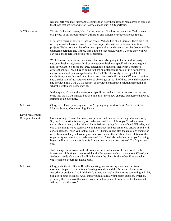

|                                      | lessons. Jeff, you may just want to comment on how those lessons read across to some of<br>the things that we're working on now to expand our CCUS portfolio.                                                                                                                                                                                                                                                                                                                                                                                                                                                                                                                                                                                                                   |
|--------------------------------------|---------------------------------------------------------------------------------------------------------------------------------------------------------------------------------------------------------------------------------------------------------------------------------------------------------------------------------------------------------------------------------------------------------------------------------------------------------------------------------------------------------------------------------------------------------------------------------------------------------------------------------------------------------------------------------------------------------------------------------------------------------------------------------|
| Jeff Gustavson:                      | Thanks, Mike, and thanks, Neil, for the question. Good to see you again. Yeah, there's<br>two pieces to our carbon capture, utilization and storage, or sequestration, strategy.                                                                                                                                                                                                                                                                                                                                                                                                                                                                                                                                                                                                |
|                                      | First, we'll focus on existing Chevron assets. Mike talked about Gorgon. There are a lot<br>of very valuable lessons learned from that project that will carry forward into future<br>projects. We've got a number of carbon capture pilots underway at our San Joaquin Valley<br>upstream operation, and if those turn out to be successful, which we hope they will, we<br>can scale those across the rest of the enterprise.                                                                                                                                                                                                                                                                                                                                                 |
|                                      | We'll focus on our existing businesses, but we're also going to focus on third-party<br>customer businesses, a new third-party customer business, specifically around regional<br>hubs for CCUS. So, these are large, concentrated industrial areas with a number of<br>different emitters. We'd like to come in there on a standalone basis or in a partnership<br>consortium, identify a storage location for the CO2. Obviously, we bring a lot of<br>capabilities, subsurface and other in that area, but also build out the CO2 transportation<br>and distribution infrastructure to then be able to go out to all of those potential customers<br>and provide a full CO2 CCUS service, or provide a customized solution depending on<br>what the customer's needs may be. |
|                                      | In this space, it's about the assets, our capabilities, and also the customers that we can<br>bring into the CCUS market, but also into all of these new energies businesses that we're<br>going to scale over time.                                                                                                                                                                                                                                                                                                                                                                                                                                                                                                                                                            |
| Mike Wirth:                          | Okay, Neil. Thank you very much. We're going to go next to Devin McDermott from<br>Morgan Stanley. Good morning, Devin.                                                                                                                                                                                                                                                                                                                                                                                                                                                                                                                                                                                                                                                         |
| Devin McDermott:<br>(Morgan Stanley) | Good morning. Thanks for taking my question and thanks for the helpful update today.<br>So, my first question is actually on carbon-neutral LNG. I think you'd had a remark<br>earlier about a deal you had signed for emissions tagging for some of the LNG sales, and<br>one of the things we've seen evolve in that market has been emissions offsets paired with<br>certain cargoes. When you look at your LNG business, and also the emissions trading or<br>offset business that you have in place, can you talk a little bit about the evolution of the<br>opportunity set there tied to carbon-neutral LNG? And also whether or not you're seeing<br>buyers willing to pay a premium for low-carbon or no-carbon cargoes? That's question                               |
|                                      | one.<br>And then question two is on the downstream side and some of the renewable fuels<br>investments. I think you mentioned that the Bunge partnership covers about 30% of your<br>feedstock needs. Can you talk a little bit about the plans for that other 70% and what<br>you've done to secure feedstock costs?                                                                                                                                                                                                                                                                                                                                                                                                                                                           |
| Mike Wirth:                          | Okay, yeah, thanks, Devin. Broadly speaking, we are seeing more interest from<br>customers in paired contracts and looking to understand the full value chain carbon<br>footprint of products. And I think that's a trend that we're likely to see continuing in LNG,<br>but also in other products. And I think you raise a really important question, which is,<br>generally there is a cost that comes with these things, and to what extent is the market<br>willing to bear that cost?                                                                                                                                                                                                                                                                                     |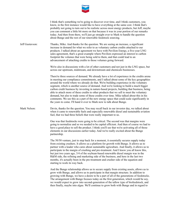

I think that's something we're going to discover over time, and I think customers, you know, in the first instance would like to have everything at the same cost. I think that's probably not going to turn out to be realistic across most energy products, but Jeff, maybe you can comment a little bit more on that because it was in your portion of our remarks today. And then from there, we'll just go straight over to Mark to handle the question about Bunge and the rest of our renewable feedstock sourcing. Jeff Gustavson: Thanks, Mike. And thanks for the question. We are seeing an increase, a significant increase in demand for what we refer to as voluntary carbon credits attached to our products. I talked about an agreement we have with Pavilion Energy, a five-year LNG sales agreement, that's a great example where Pavilion expressed an interest to carbon footprint the volumes that were being sold to them, and that could lead to an advancement of attaching credits to those volumes going forward. We're also in discussions with a lot of other customers and not just in the LNG space, but across our upstream, midstream, and downstream and chemicals businesses. There're three sources of demand. We already have a lot of experience in the credits arena in meeting our compliance commitments, and I talked about some of the key geographies around the world where we already do that. We're building experience in the voluntary segment, which is another source of demand. And we're looking to build a much bigger carbon credit business by investing in nature-based projects, building that business, being able to attach more of these credits to other products that we sell to meet the voluntary demand, but also to trade some of these credits over time. Mike talked about this in his comments. We see this as a part of the new energy space that could scale significantly in the years to come. I'll hand it over to Mark now to talk about Bunge. Mark Nelson: Devin, thanks for the question. You may recall back in our investor day, we talked about when it came to renewable fuels and especially renewable diesel and sustainable aviation fuel, that we had three beliefs that were really important to us. One was that feedstocks were going to be critical. The second was that margins were going to normalize and so we needed to be capital efficient. And then of course we had to have a good place to sell the product. I think you'll see that we're activating all of those elements in our discussions earlier today. And we're really excited about the Bunge partnership. The 50/50 venture, just to step back for a moment, it essentially secures supply today from existing crushers. It allows us a platform for growth with Bunge. It allows us to partner with a leader who cares about sustainable agriculture. And finally, it allows us to participate in the margin of crushing and pre-treatment. And I know you all know this, but just two years ago, 3/4 of the soybean-based renewable diesel margin was in the R&M side, the refining and marketing side of the business, and here in the last two months, it's actually been in the pre-treatment and crusher side of the equation and starting to work its way back. And the Bunge relationship allows us to secure supply from existing assets, allows us to grow with Bunge, and allows us to participate in that margin structure. In addition to growing with Bunge, we have a desire to be a part of all of the generations of feedstocks. The arrangement with Bunge focuses today on the first generation, which would be soy, we would expect to grow into second-generation of the tallow type of biofeedstock, and then finally, maybe into algae. We'll continue to grow both with Bunge and in regard to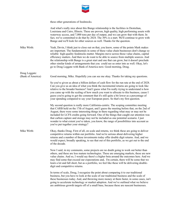

these other generations of feedstocks.

|                                    | And what's really nice about this Bunge relationship is the facilities in Destrehan,<br>Louisiana and Cairo, Illinois. These are proven, high quality, high performing assets with<br>waterway access, and 7,000 tons per day of output, and we can grow that with them. In<br>fact, we've committed to do that by 2024. The 30% is a start. We'll continue to grow with<br>Bunge and we'll look for other sources as well. Thanks for the question.                                                                                                                                                                                       |
|------------------------------------|--------------------------------------------------------------------------------------------------------------------------------------------------------------------------------------------------------------------------------------------------------------------------------------------------------------------------------------------------------------------------------------------------------------------------------------------------------------------------------------------------------------------------------------------------------------------------------------------------------------------------------------------|
| Mike Wirth:                        | Yeah, Devin, I think just to close out on that, you know, some of the points Mark makes<br>are important. The fundamentals in some of these value chain businesses don't change so<br>reliable high-quality feedstocks matter. Margins move across those value chains, capital<br>efficiency matters. And then we do want to be able to source from multiple sources. And<br>the relationship with Bunge is a great start and one that can grow, but it doesn't preclude<br>other similar kinds of arrangements that you could see us enter into as well. Okay, let's<br>go to Doug Leggate with Bank of America next. Good morning, Doug. |
| Doug Leggate:<br>(Bank of America) | Good morning, Mike. Hopefully you can see me okay. Thanks for taking my questions.                                                                                                                                                                                                                                                                                                                                                                                                                                                                                                                                                         |
|                                    | So you've given us about a billion dollars of cash flow for the run rate at the end of 2028.<br>Can you give us an idea of what you think the incremental returns are going to look like<br>relative to the broader business? And I guess what I'm really trying to understand is how<br>you came up with the scaling of how much you want to allocate to this business, cause I<br>guess you're going to get the comment that it's still quite a bit lower as a percentage of<br>your spending compared to say your European peers. So that's my first question.                                                                          |
|                                    | My second question is really more California-centric. The scoping committee meeting<br>that CARB held on the 17th of August, and I guess the meeting before that, on the 2nd of<br>August, there were some interesting things in there regarding what may or may not be<br>included for LCFS credits going forward. One of the things that caught our attention was<br>that carbon capture and storage may not be included as one potential scenario. I just<br>wonder to what extent you've taken, you know, the range of possibilities into account as<br>you've put together your strategy?                                             |
| Mike Wirth:                        | Okay, thanks Doug. First of all, on scale and returns, we think these are going to deliver<br>competitive returns within our portfolio. And we're serious about delivering higher<br>returns and a number of these investments today offer double digit returns. And, and we<br>would expect, broadly speaking, to see that out of this portfolio, as we get out to the end<br>of the decade.                                                                                                                                                                                                                                              |
|                                    | Now I said, in my comments, some projects are no doubt going to work out better than<br>others, and these are less mature technologies. These are emerging markets, these are new<br>value chains. And so, I would say there's a higher beta around the outcomes here. And we<br>may find some that exceed our expectations and, I'm certain, there will be some that we<br>learn a lot and fall short, but as a portfolio, we feel like these will be delivering double-<br>digit and competitive returns.                                                                                                                                |
|                                    | In terms of scale, Doug, I recognize the point about comparing it to our traditional<br>business, but you have to look at the scale of our traditional business and the scale of<br>these businesses today. And, and throwing more money at them faster, in some cases, isn't<br>going to accelerate technology or market adoption. And we've outlined what we believe<br>are ambitious growth targets off of a small base, because these are nascent businesses.                                                                                                                                                                          |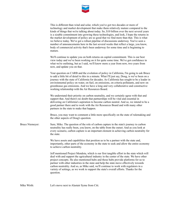

|                 | This is different than wind and solar, which you've got two decades or more of<br>technology and market development that make them relatively mature compared to the<br>kinds of things that we're talking about today. So, \$10 billion over the next several years<br>is a sizable commitment into growing these technologies, and look, I hope the returns in<br>the market development of policy are so good that we find more than that. This is what<br>we believe today. We've got a robust pipeline of discussions underway. You've seen a<br>number of announcements here in the last several weeks that reflect a large, you know,<br>body of commercial activity that's been underway for some time and is beginning to<br>mature. |
|-----------------|-----------------------------------------------------------------------------------------------------------------------------------------------------------------------------------------------------------------------------------------------------------------------------------------------------------------------------------------------------------------------------------------------------------------------------------------------------------------------------------------------------------------------------------------------------------------------------------------------------------------------------------------------------------------------------------------------------------------------------------------------|
|                 | We'll continue to update you on both returns on capital commitment. This is our best<br>view today and we've been working on it for quite some time. We've got confidence in<br>what we're outlining, but as I said, we'll know more a year from now, two years from<br>now, and update you on that.                                                                                                                                                                                                                                                                                                                                                                                                                                          |
|                 | Your question on CARB and the evolution of policy in California, I'm going to ask Bruce<br>to add a little bit of detail to this in a minute. What I'll just say, Doug, is we've been on a<br>journey with the state of California for decades. As California has sought to be a leader in<br>environmental policy on water, on fuel, on emissions, on criteria pollutants, and now on<br>greenhouse gas emissions. And we have a long and very collaborative and constructive<br>working relationship with the Air Resources Board.                                                                                                                                                                                                          |
|                 | We understand their priority on carbon neutrality, and we certainly agree with that and<br>support that. And there's no doubt that partnerships will be vital and essential in<br>delivering on California's aspiration to become carbon neutral. And so, we intend to be a<br>good partner there and to work with the Air Resources Board and with many other<br>partners in the state to make that happen.                                                                                                                                                                                                                                                                                                                                  |
|                 | Bruce, you may want to comment a little more specifically on the state of rulemaking and<br>the other aspects of Doug's question.                                                                                                                                                                                                                                                                                                                                                                                                                                                                                                                                                                                                             |
| Bruce Niemeyer: | Sure, Mike. The question of the role of carbon capture in the state's journey to carbon<br>neutrality has really been, you know, on the table from the outset. And as you look at<br>every scenario, carbon capture is an important element in achieving carbon neutrality for<br>the state.                                                                                                                                                                                                                                                                                                                                                                                                                                                  |
|                 | We have assets and capabilities that position us to be a partner with the state and,<br>importantly, other parts of the economy in the state to seek and allow the entire economy<br>to achieve carbon neutrality.                                                                                                                                                                                                                                                                                                                                                                                                                                                                                                                            |
|                 | Jeff mentioned Project Mendota, which is our first tangible effort in the state which will<br>deal with and support the agricultural industry in the center of the state. We have other<br>project concepts. He also mentioned hubs and those hubs provide platforms for us to<br>partner with other industries in the state and help the state move effectively towards<br>carbon neutrality. And so, as Mike said, we'll continue to work with regulators in a<br>variety of settings, as we work to support the state's overall efforts. Thanks for the<br>question.                                                                                                                                                                       |
| Mike Wirth:     | Let's move next to Alastair Syme from Citi.                                                                                                                                                                                                                                                                                                                                                                                                                                                                                                                                                                                                                                                                                                   |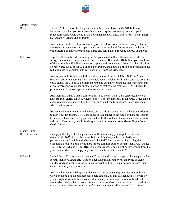

| Alastair Syme:  |                                                                                                                                                                                                                                                                                                                                                                                                                                                                                                           |
|-----------------|-----------------------------------------------------------------------------------------------------------------------------------------------------------------------------------------------------------------------------------------------------------------------------------------------------------------------------------------------------------------------------------------------------------------------------------------------------------------------------------------------------------|
| (Citi)          | Thanks, Mike. Thanks for the presentation. Mike, can I ask, on the \$10 billion of<br>incremental capital, you know, roughly how that splits between upstream scope 1<br>reduction? What you're doing in the downstream? and I guess what's rest, which I guess<br>is, you know, offsets and hydrogen?                                                                                                                                                                                                    |
|                 | And then secondly, and I guess similarly on the billion dollars of cash flow, you know,<br>are we including upstream scope 1 reduction gains in there? For example, you know, if<br>you capture gas that was previously flared and sell that as a revenue source. Thank you.                                                                                                                                                                                                                              |
| Mike Wirth:     | Yep. So, Alastair, broadly speaking, we've got a chart in there, the bars are a little bit<br>fuzzy, because these things are not entirely precise. But on the \$10 billion, you can think<br>of that as roughly \$3 billion on carbon capture and storage and offsets. Another \$3 billion<br>on renewable fuels, about \$2 billion on hydrogen, and about \$2 billion on greenhouse gas<br>reduction activities within our own portfolio. That's the view today.                                        |
|                 | And as you look for it on the billion dollars in cash flow, I think by [2030] we'll see<br>roughly half of that coming from renewable fuels, which are a little bit easier to drop into<br>value chains today, a little bit more mature, and certainly something that we're growing<br>aggressively. And you'll see another portion of that coming from CCUS as it begins to<br>penetrate and then hydrogen would make up the balance.                                                                    |
|                 | And there is, I think, a small contribution, to be honest with you, I can't recall, we can<br>have Rodrick clarify for you, whether our let's say methane that is captured. Bruce talked<br>about replacing methane with nitrogen in tank blankets, for instance. I can't remember<br>where that drops in.                                                                                                                                                                                                |
|                 | But renewable fuels clearly in the early part of this are going to be the larger contributor<br>to cash flow. Hydrogen, CCUS are going to take longer to get some of these projects up<br>to scale and they become bigger contributors further out, and the capital allocation is as I<br>indicated. Thanks very much for the question. Let's move next to Manav Gupta from<br>Credit Suisse.                                                                                                             |
| Manav Gupta:    |                                                                                                                                                                                                                                                                                                                                                                                                                                                                                                           |
| (Credit Suisse) | Hey guys, thank you for the presentation. It's interesting, you've put out hundred<br>thousand [in 2030] barrels between SAF and RD. Can you help us clarify what<br>percentage would be RD and what would be SAF? And the reason I'm asking this<br>question is because at this point there's more common support for RD than SAF, you get<br>1.6 RINS for SAF and 1.7 for RD. So do you expect some kind of policy change from the<br>government which will help you grow SAF at a faster rate than RD? |
| Mike Wirth:     | Yeah, Manav, I'll just take that one and I'll say you do have stronger policy support today<br>for RD than for Sustainable Aviation Fuel. Discussions underway on trying to create<br>similar kinds of incentives for Sustainable Aviation Fuel. Big part of our business is to<br>create flexibility and options here.                                                                                                                                                                                   |
|                 | And whether you're talking about the overall rate of demand growth for energy in the<br>world or the mix in the broadest sense between coal, oil and gas, renewables, hydro or<br>you get right down into fuels like distillates and you're looking at renewable diesels,<br>sustainable aviation fuel or conventional versions of those fuels. We have the capabilities<br>to deliver across the spectrum and we're investing in our refineries and Mark made                                            |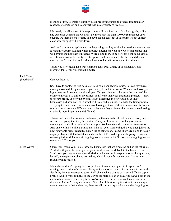

| mention of this, to create flexibility in our processing units, to process traditional or<br>renewable feedstocks and to convert that into a variety of products.                                                                                                                                                                                                                                                                                                                                                                                                                                                                                                                                                                                                                             |
|-----------------------------------------------------------------------------------------------------------------------------------------------------------------------------------------------------------------------------------------------------------------------------------------------------------------------------------------------------------------------------------------------------------------------------------------------------------------------------------------------------------------------------------------------------------------------------------------------------------------------------------------------------------------------------------------------------------------------------------------------------------------------------------------------|
| Ultimately the allocation of those products will be a function of market signals, policy<br>and customer demand and we didn't get more specific than 100,000 [barrels per day]<br>because we intend to be flexible and have the capacity but at this point it's not entirely<br>clear how the split will break down.                                                                                                                                                                                                                                                                                                                                                                                                                                                                          |
| And we'll continue to update you on these things as they evolve but we don't intend to get<br>locked into a point solution which if policy doesn't show up now we've got capital that<br>we perhaps shouldn't have invested. We're going to try to be very efficient in our capital<br>investments, create flexibility, create options and then as markets clarify and demand<br>emerges, we'll meet that and perhaps lean into that with subsequent investments.                                                                                                                                                                                                                                                                                                                             |
| Thank you very much, next we're going to have Paul Cheng at Scotiabank. Good<br>morning, Paul. Paul you might be muted.                                                                                                                                                                                                                                                                                                                                                                                                                                                                                                                                                                                                                                                                       |
| Can you hear me?                                                                                                                                                                                                                                                                                                                                                                                                                                                                                                                                                                                                                                                                                                                                                                              |
| So, I have to apologize first because I have some connection issues. So, you may have<br>already answered the questions. If you have, please let me know. When we're looking at<br>higher returns, lower carbon, that slogan. Can you give us  because the nature of the<br>business in your \$10 billion investment is different than your traditional projects  how<br>the return profile or how the criteria, is any difference in how you look at those<br>businesses and how you judge whether it is a good business? So that's the first question<br>trying to understand that when you're looking at those \$10 billion investments from a<br>return criteria, are they different than, or how are they different than when you're looking<br>at what is more important and different? |
| The second one is that when we're looking at the renewable diesel business, everyone<br>seems to be going into that, the barrier of entry is close to zero. As long as you have<br>money, you can build a renewable diesel plat. We have recently conducted an exercise.<br>And one we find is quite alarming that with not even mentioning that you guys joined the<br>new renewable diesel capacity, just on the existing plan. Seems like we're going to have a<br>major problem with the feedstock and also the LCFS credits probably going to become<br>oversupplied. And that margin is going to come down a lot. So how are you going to save<br>out on that? Thank you.                                                                                                               |
|                                                                                                                                                                                                                                                                                                                                                                                                                                                                                                                                                                                                                                                                                                                                                                                               |

Mike Wirth: Okay, Paul, thank you. Look, these are businesses that are emerging and so the returns... I'll start with your, the latter part of your question and work back to the broader issue. You know, you may not have heard Mark say, but earlier in response to another question, he said, we expect margins to normalize, which is code for come down. And for the reasons you identified.

> Mark also said, we're going to be very efficient in our deployment of capital. We're making a conversion of existing refinery units at modest capital investments to create the flexibility here, as opposed to green field plants where you've got a very different capital profile. And so we're mindful of the way these markets can evolve. And we've been in the commodity business for a long time. We've seen overbuild vis-a-vis demand and what that does. And we're very conscious of that. And I think savvy investors in new energies need to recognize that at the core, these are all commodity markets and they're going to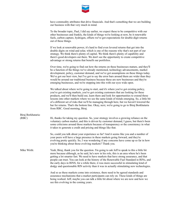

have commodity attributes that drive financials. And that's something that we are building our business with that very much in mind.

|                             | To the broader topic, Paul, I did say earlier, we expect these to be competitive with our<br>other businesses and frankly, the kinds of things we're looking at now, be it renewable<br>fuels, carbon capture, hydrogen, offsets we've got expectations for double-digit returns<br>out of these things.                                                                                                                                                                                                                                                                                                     |
|-----------------------------|--------------------------------------------------------------------------------------------------------------------------------------------------------------------------------------------------------------------------------------------------------------------------------------------------------------------------------------------------------------------------------------------------------------------------------------------------------------------------------------------------------------------------------------------------------------------------------------------------------------|
|                             | If we look at renewable power, it's hard to find even levered returns that get into the<br>double digits on wind and solar, which is one of the reasons why that's not part of our<br>strategy. We think there's plenty of capital. We think there's plenty of capability and<br>there's good developers out there. We don't see the opportunity to create competitive<br>advantage or strong returns that benefit our portfolios.                                                                                                                                                                           |
|                             | Over time, we're going to find out how the returns on these businesses mature, and they'll<br>be a function of the things we've already mentioned, technology advancements, market<br>development, policy, customer demand, and we've got assumptions on these things today.<br>We've got our best view, but I've got to say the error bars around them are wider than they<br>would be around our traditional business because these are new businesses and they're<br>emerging businesses, and we're stepping into this with our eyes wide open.                                                           |
|                             | We talked about where we're going to start, and it's where you've got existing policy,<br>you've got existing markets, you've got existing customers that are looking for these<br>products, and we'll then build out, learn there and look for opportunities to extend those<br>lessons into other markets where we see the same kinds of trends emerging. So, a little bit<br>of a different set of risks that we'll be managing through here, but we haven't lowered the<br>bar for returns. That's the bottom line. Okay, next, we're going to go to Biraj Borkhataria<br>from RBC. Good morning, Biraj. |
| Biraj Borkhataria:<br>(RBC) | Hi, thanks for taking my question. So, your strategy involves a growing reliance on the<br>voluntary carbon market, and this is driven by customer demand, I guess, but there's been<br>some criticisms around those markets because of transparency or the consistency in what<br>it takes to generate a credit and pricing and things like that.                                                                                                                                                                                                                                                           |
|                             | So, could you talk about your experience so far? And it seems like you and a number of<br>your peers will have a large presence in these markets going forward, and they're<br>evolving pretty quickly. So, I was wondering if any concerns have come up so far in how<br>you're thinking about those evolving markets? Thank you.                                                                                                                                                                                                                                                                           |
| Mike Wirth:                 | Yeah, Biraj, thank you for the question. I'm going to ask Jeff to speak to this a little bit<br>more because although, as he said, he's new in his role, this is an area where he's been<br>getting a lot smarter fast. We need to have markets that have strong assurance, and that<br>people can trust. You can look at the history of the Renewable Fuel Standard in RINs, and<br>the early days in RINS, for a while there, it was more successful in stimulating kind of<br>dodgy and questionable RIN activity than it was in actually stimulating new technologies.                                   |
|                             | And so as these markets come into existence, there need to be agreed standards and<br>assurance mechanisms that a market participants can rely on. These kinds of things are<br>being worked. Jeff, maybe you can talk a little bit about where we are now and how we<br>see this evolving in the coming years.                                                                                                                                                                                                                                                                                              |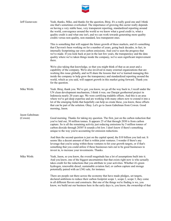

| Jeff Gustavson:            | Yeah, thanks, Mike, and thanks for the question, Biraj. It's a really good one and I think<br>one that's sometimes overlooked. The importance of growing this sector really depends<br>on having a very stable base, very transparent reporting, standardized reporting around<br>the world, convergence around the world so we know what a good credit is, what a<br>quality credit is and what one isn't, and we can work towards generating more quality<br>credits versus non-quality, non-standard, less transparent ones.                                                |
|----------------------------|--------------------------------------------------------------------------------------------------------------------------------------------------------------------------------------------------------------------------------------------------------------------------------------------------------------------------------------------------------------------------------------------------------------------------------------------------------------------------------------------------------------------------------------------------------------------------------|
|                            | This is something that will support the future growth of these markets, and it's something<br>that Chevron's been working on for a number of years, going back decades, in fact, in<br>internally footprinting our own carbon emissions. And you've seen the progress that<br>we've made. If you look back at just in the last few years, the transparency and the data<br>quality where we've taken things inside the company, we've seen significant improvement<br>there.                                                                                                   |
|                            | We're also taking that knowledge, so that you might think of that as an asset and a<br>capability of the company. We're also involved in many external organizations that are<br>working this issue globally, and we'll share the lessons that we've learned managing this<br>inside the company to help grow the transparency and standardized reporting around the<br>world, which as you said, will support growth in this market going forward. Thank you<br>for the question.                                                                                             |
| Mike Wirth:                | Yeah. Biraj, thank you. We've got, you know, we go all the way back to, I recall under the<br>UN clean development mechanism, I think it was, our Darajat geothermal project in<br>Indonesia nearly 20 years ago. We were certifying tradable offsets. And this is an area<br>where we've got deep expertise and are working with many others now to extend it into a<br>lot of the emerging fields that hopefully can help us create these, you know, these offsets<br>that can be part of the solution. Okay. Let's go to Jason Gabelman from Cowen. Good<br>morning, Jason. |
| Jason Gabelman:<br>(Cowen) | Good morning. Thanks for taking my question. The first, just on the carbon reduction that<br>you've laid out, 30 million tonnes. It appears 25 of that through 2030 is from carbon<br>capture. So is all the remaining activity just reducing emissions by 5 million tonnes of<br>carbon dioxide through 2030? It sounds a bit low. I don't know if there's something<br>unique to the way you're accounting for emission reductions.                                                                                                                                          |
|                            | And then the second question is just on the capital spend, the \$10 billion you laid out. It<br>seems like a decent amount of that is within joint ventures. I wonder if there's any<br>leverage that you're using within those ventures to hit your growth targets, or if that's<br>something that you could utilize if these businesses turn out to be good businesses to<br>invest in, to increase your investments. Thanks.                                                                                                                                                |
| Mike Wirth:                | Yeah, Jason, so you know, the overall magnitude has a lot of assumptions built into it.<br>And you know, one of the biggest uncertainties that that exists right now is who actually<br>takes credit for the reductions that you attribute to your activities. Whether it's green<br>hydrogen, renewable diesel, sustainable aviation fuel, or carbon capture and storage<br>potentially paired with an LNG sale, for instance.                                                                                                                                                |
|                            | There are people out there across the economy that have made pledges, set targets,<br>declared ambitions to reduce their carbon footprint scope 1, scope 2, scope 3, they come<br>in all different flavors and constructs. But one of the things we're finding is we, you<br>know, we build out our business here in the early days is, you know, the ownership of that                                                                                                                                                                                                        |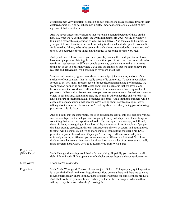

credit becomes very important because it allows someone to make progress towards their declared ambition. And so, it becomes a pretty important commercial element of any agreement that we enter into.

And we haven't necessarily assumed that we retain a hundred percent of those credits now. So, what we've defined there, the 30 million tonnes [in 2028] would be what we think are a reasonable expectation of what we can deliver. And there could be more, to your point, I hope there is more, but how that gets allocated and who gets to take credit for it remains, I think, to be to be seen, ultimately almost transaction by transaction. And then as you aggregate these things up, the issues of reporting become very real.

And, you know, I think most of you have probably studied this, and, you know, if you have multiple players claiming the same reduction, you didn't reduce one tonne of carbon ten times, just because 10 different people some way can lay claim to that. And we're trying not to get in a position where we've laid out ambitions that we don't believe are realistic and deliverable. We'll continue to say more about that.

Your second question, I guess, was about partnerships, joint ventures, and one of the attributes of our company that I'm really proud of is partnering. It's been in our vision forever to be, you know, most respected for people, partnership, and performance. We work hard on partnering and Jeff talked about it in his remarks that we have a long history around the world in all different kinds of circumstances, of working well with partners to deliver value. Sometimes these partners are governments. Sometimes there are others in our industry. Sometimes there are people in other industries and we really do have a culture of finding mutually beneficial outcomes. And I think this business will be especially dependent upon that because we're talking about new technologies, we're talking about new value chains, and we're talking about everybody being part of making progress on this big issue.

And so I think that the opportunity for us to attract more capital into projects, into various sectors, and figure out which partners are going to carry, which piece of these things is something that we are well-positioned to do. Carbon capture and storage, as Jeff said, these big hubs, you're going to have lots of players involved in emitters, lots of people that have storage capacity, midstream infrastructure players, et cetera, and putting those together will be complex, but it's no more complex than putting together a big LNG project a project in Kazakhstan. It's just you're moving a different commodity and ultimately creating a different, you know, meeting a different market need. So I think that's an area that we can leverage a lot of our history and a lot of our strengths to really make progress here. Okay. Let's go to Roger Read from Wells Fargo.

| Roger Read:<br>(Wells Fargo) | Yeah. Hey, good morning. And thanks for everything. Hopefully you can hear me all<br>right. I think I had a little tropical storm Nicholas power drop and disconnection earlier.                                                                                                                                                                                                                                             |
|------------------------------|------------------------------------------------------------------------------------------------------------------------------------------------------------------------------------------------------------------------------------------------------------------------------------------------------------------------------------------------------------------------------------------------------------------------------|
| Mike Wirth:                  | I hope you're staying dry.                                                                                                                                                                                                                                                                                                                                                                                                   |
| Roger Read:                  | Yeah. Yeah. We're good. Thanks. I know we just blinked off. Anyway, my quick question<br>is to get kind of back to the earnings, the cash flow potential here and there are so many<br>moving parts, right? There's policy, there's customer demand for some of these products.<br>And I believe Mike, you mentioned earlier, you know, the challenge of what are they<br>willing to pay for versus what they're asking for. |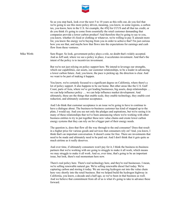

So as you step back, look over the next 5 to 10 years as this rolls out, do you feel that we're going to see this more policy driven, meaning, you know, in some regions, a carbon tax, you know, here in the U.S. for example, the 45Q for CCUS and all that tax credit, or do you think it's going to come from essentially the retail customer demanding that companies provide a lower carbon product? And therefore they're going to say to you, you know, whether it's food or clothing or whatever, we're willing to pay X amount more for, you know the energy we're buying from you in order to achieve that? I'm just curious how you see that, and maybe how that flows into the expectations for earnings and cash flow from these ventures.

Mike Wirth: Sure Roger. So look, government policy plays a role, no doubt that's widely accepted. And as Jeff said, where we see a policy in place, it accelerates investment. And that's the intent of the policy is to incentivize investment.

> But we're not just relying on policy support here. We intend to leverage our strengths, which our capabilities, our assets, our customer relationships, to be a leader in advancing a lower carbon future. And, you know, the pace is picking up, the direction is clear. And we want to be part of making it happen.

> You know, we're certainly focused to a significant degree on California, where there's a lot of policy support. It also happens to be our home. But other areas like the U.S. Gulf Coast, parts of Asia, where we've got leading businesses, big assets, deep relationships … we can help influence policy … we can help influence market development. And ultimately, these are the things that enable scale, they enable technology, they enable cost reduction, and ultimately customer acceptance.

> And I do think that customer acceptance is an issue we're going to have to continue to have a dialogue about. The business-to-business customer has kind of stepped up to the plate, I would say. And you see not only the pledges and aspirations, but we're seeing it in many of these relationships that we've been announcing where we're working with other business entities to try to put together these new value chains and create lower carbon energy systems that they can rely on for a bigger part of their energy needs.

> The question is, does that flow all the way through to the end consumer? Does that result in a higher price for various goods and services that consumers rely on? And, you know, I think that's an important conversation. It doesn't come for free. There are investments that need to be made and ultimately need to be paid out. And I don't think that it gets quite as much airtime as it really deserves.

And over time, if ultimately consumers won't pay for it, I think the business-to-business partners that we're working with are going to struggle to make it all work, which means we may struggle to make it all work. And so, over time, that's going to be an important issue, but look, there's real momentum here now.

There's real policy here. There's real technology here, and they're real businesses. I mean, we're selling renewable natural gas. We're selling renewable diesel fuel today. We're capturing carbon and storing it today. We are moving hydrogen out into the value chain here very shortly into the retail business. But we helped build the hydrogen highway in California, you know, a decade and a half ago, so we've been in that business as well. And we believe that commitment from all of us is what it's going to take to advance these forward.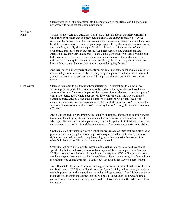

|                     | Okay, we've got a little bit of time left. I'm going to go to Jon Rigby, and I'll shorten up<br>my answers to see if we can get to a few more.                                                                                                                                                                                                                                                                                                                                                                                                                                                                                                                                                                                                                                                                                                                                                              |
|---------------------|-------------------------------------------------------------------------------------------------------------------------------------------------------------------------------------------------------------------------------------------------------------------------------------------------------------------------------------------------------------------------------------------------------------------------------------------------------------------------------------------------------------------------------------------------------------------------------------------------------------------------------------------------------------------------------------------------------------------------------------------------------------------------------------------------------------------------------------------------------------------------------------------------------------|
| Jon Rigby:<br>(UBS) | Thanks, Mike. Yeah, two questions. Can I just first talk about your E&P portfolio? I<br>was struck by the map that you provided that shows the energy intensity by various<br>regions or by projects. And it raises two questions in my mind. One is how much can you<br>bend the sort of emissions curve of your project portfolio by the projects that you choose,<br>and therefore, actually shape the portfolio? And how do you balance rates of return,<br>economics, and emissions in that profile? And then just as a side question on that,<br>Australia LNG shows up on a scope 1, scope 2 emissions intensity is actually quite high,<br>but if you were to look at your emissions on a scope 3 as well, it would end up being<br>quite attractive and quite competitive because clearly the end user's got emissions. So<br>how without a scope 3 target, do you think about that going forward? |
|                     | And then, sorry, I know you're short of time, but can I just ask one other question? Is this<br>update today, does this effectively rule out your participation in solar or wind, or would<br>you revisit that at some point or other if the opportunities arose or is that now a dead<br>duck?                                                                                                                                                                                                                                                                                                                                                                                                                                                                                                                                                                                                             |
| Mike Wirth:         | Okay, so let me try to get through those efficiently. It's interesting, Jon, now, as we<br>sanction projects, part of the discussion is the carbon intensity of the asset. And a few<br>years ago that wasn't necessarily part of the conversation. And when you make it part of<br>your FID criteria, guess what? Your project development teams find ways to reduce<br>carbon intensity. And as Bruce gave a number of examples, we actually see better<br>economic outcomes, because we're reducing the count of equipment. We're reducing the<br>footprint of some of our facilities. We're ensuring that we're using the resource even more<br>efficiently.                                                                                                                                                                                                                                            |
|                     | And so, as we seek lower carbon, we're actually finding that there are economic benefits<br>that often play into projects. And sometimes there are tradeoffs, and there's a point at<br>which, just like any other design parameter, you reach a point of diminishing returns, but<br>there's an active consideration of that in every one of our upstream investment decisions.                                                                                                                                                                                                                                                                                                                                                                                                                                                                                                                            |
|                     | On the question of Australia, you're right, those are remote facilities that generate a lot of<br>power because you've got a lot of compression required, and so that power generation<br>right now is natural gas, and so they have a higher carbon intensity than some of our<br>other facilities that don't have that same power demand.                                                                                                                                                                                                                                                                                                                                                                                                                                                                                                                                                                 |
|                     | Over time, we're going to look for ways to address that. And we may not have said it<br>specifically, but we're looking at renewables as part of the power equation in Australia<br>LNG, and seeing how that may change things. We sequester CO2 at Gorgon right now,<br>are there ways to leverage that with some of the combustion emissions, all of these things<br>are being reviewed and over time, I think you'll see us look for ways to address them.                                                                                                                                                                                                                                                                                                                                                                                                                                               |
|                     | And I'll just take the scope 3 question and say, when we update our climate report here in<br>the fourth quarter [2021] we will address scope 3, and I think you'll see you, you make a<br>really important point that a good way to look at things is scope 1, 2 and 3, because there<br>are tradeoffs among them at times and the real goal is to get them all down and find a<br>pathway to lower emissions in aggregate. And we'll say more about that when we release<br>the report.                                                                                                                                                                                                                                                                                                                                                                                                                   |